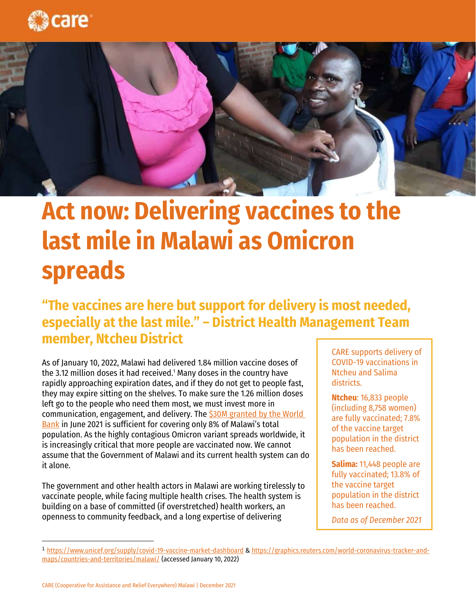



## **Act now: Delivering vaccines to the last mile in Malawi as Omicron spreads**

## **"The vaccines are here but support for delivery is most needed, especially at the last mile." – District Health Management Team member, Ntcheu District**

As of January 10, 2022, Malawi had delivered 1.84 million vaccine doses of the 3.12 million doses it had received.<sup>1</sup> Many doses in the country have rapidly approaching expiration dates, and if they do not get to people fast, they may expire sitting on the shelves. To make sure the 1.26 million doses left go to the people who need them most, we must invest more in communication, engagement, and delivery. The [\\$30M granted by the World](https://projects.worldbank.org/en/projects-operations/project-detail/P176402)  [Bank](https://projects.worldbank.org/en/projects-operations/project-detail/P176402) in June 2021 is sufficient for covering only 8% of Malawi's total population. As the highly contagious Omicron variant spreads worldwide, it is increasingly critical that more people are vaccinated now. We cannot assume that the Government of Malawi and its current health system can do it alone.

The government and other health actors in Malawi are working tirelessly to vaccinate people, while facing multiple health crises. The health system is building on a base of committed (if overstretched) health workers, an openness to community feedback, and a long expertise of delivering

CARE supports delivery of COVID-19 vaccinations in Ntcheu and Salima districts.

**Ntcheu**: 16,833 people (including 8,758 women) are fully vaccinated; 7.8% of the vaccine target population in the district has been reached.

**Salima:** 11,448 people are fully vaccinated; 13.8% of the vaccine target population in the district has been reached.

*Data as of December 2021*

<sup>1</sup> <https://www.unicef.org/supply/covid-19-vaccine-market-dashboard> [& https://graphics.reuters.com/world-coronavirus-tracker-and](https://graphics.reuters.com/world-coronavirus-tracker-and-maps/countries-and-territories/malawi/)[maps/countries-and-territories/malawi/](https://graphics.reuters.com/world-coronavirus-tracker-and-maps/countries-and-territories/malawi/) (accessed January 10, 2022)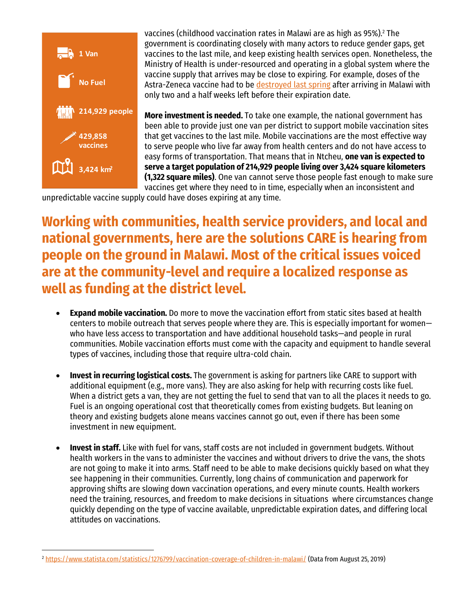

vaccines (childhood vaccination rates in Malawi are as high as 95%). $^{\rm 2}$  The government is coordinating closely with many actors to reduce gender gaps, get vaccines to the last mile, and keep existing health services open. Nonetheless, the Ministry of Health is under-resourced and operating in a global system where the vaccine supply that arrives may be close to expiring. For example, doses of the Astra-Zeneca vaccine had to b[e destroyed last](https://news.trust.org/item/20210621155701-ou8pd/) spring after arriving in Malawi with only two and a half weeks left before their expiration date.

**More investment is needed.** To take one example, the national government has been able to provide just one van per district to support mobile vaccination sites that get vaccines to the last mile. Mobile vaccinations are the most effective way to serve people who live far away from health centers and do not have access to easy forms of transportation. That means that in Ntcheu, **one van is expected to serve a target population of 214,929 people living over 3,424 square kilometers (1,322 square miles)**. One van cannot serve those people fast enough to make sure vaccines get where they need to in time, especially when an inconsistent and

unpredictable vaccine supply could have doses expiring at any time.

**Working with communities, health service providers, and local and national governments, here are the solutions CARE is hearing from people on the ground in Malawi. Most of the critical issues voiced are at the community-level and require a localized response as well as funding at the district level.**

- **Expand mobile vaccination.** Do more to move the vaccination effort from static sites based at health centers to mobile outreach that serves people where they are. This is especially important for women who have less access to transportation and have additional household tasks—and people in rural communities. Mobile vaccination efforts must come with the capacity and equipment to handle several types of vaccines, including those that require ultra-cold chain.
- **Invest in recurring logistical costs.** The government is asking for partners like CARE to support with additional equipment (e.g., more vans). They are also asking for help with recurring costs like fuel. When a district gets a van, they are not getting the fuel to send that van to all the places it needs to go. Fuel is an ongoing operational cost that theoretically comes from existing budgets. But leaning on theory and existing budgets alone means vaccines cannot go out, even if there has been some investment in new equipment.
- **Invest in staff.** Like with fuel for vans, staff costs are not included in government budgets. Without health workers in the vans to administer the vaccines and without drivers to drive the vans, the shots are not going to make it into arms. Staff need to be able to make decisions quickly based on what they see happening in their communities. Currently, long chains of communication and paperwork for approving shifts are slowing down vaccination operations, and every minute counts. Health workers need the training, resources, and freedom to make decisions in situations where circumstances change quickly depending on the type of vaccine available, unpredictable expiration dates, and differing local attitudes on vaccinations.

<sup>2</sup> <https://www.statista.com/statistics/1276799/vaccination-coverage-of-children-in-malawi/> (Data from August 25, 2019)